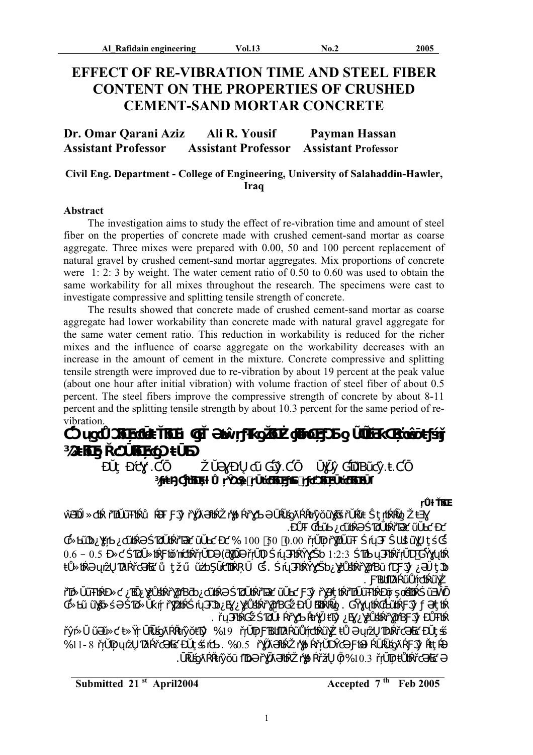# **EFFECT OF RE-VIBRATION TIME AND STEEL FIBER CONTENT ON THE PROPERTIES OF CRUSHED CEMENT-SAND MORTAR CONCRETE**

| Dr. Omar Qarani Aziz       | Ali R. Yousif              | Payman Hassan              |
|----------------------------|----------------------------|----------------------------|
| <b>Assistant Professor</b> | <b>Assistant Professor</b> | <b>Assistant Professor</b> |

## **Civil Eng. Department - College of Engineering, University of Salahaddin-Hawler, Iraq**

### **Abstract**

The investigation aims to study the effect of re-vibration time and amount of steel fiber on the properties of concrete made with crushed cement-sand mortar as coarse aggregate. Three mixes were prepared with 0.00, 50 and 100 percent replacement of natural gravel by crushed cement-sand mortar aggregates. Mix proportions of concrete were 1: 2: 3 by weight. The water cement ratio of 0.50 to 0.60 was used to obtain the same workability for all mixes throughout the research. The specimens were cast to investigate compressive and splitting tensile strength of concrete.

 The results showed that concrete made of crushed cement-sand mortar as coarse aggregate had lower workability than concrete made with natural gravel aggregate for the same water cement ratio. This reduction in workability is reduced for the richer mixes and the influence of coarse aggregate on the workability decreases with an increase in the amount of cement in the mixture. Concrete compressive and splitting tensile strength were improved due to re-vibration by about 19 percent at the peak value (about one hour after initial vibration) with volume fraction of steel fiber of about 0.5 percent. The steel fibers improve the compressive strength of concrete by about 8-11 percent and the splitting tensile strength by about 10.3 percent for the same period of revibration.

**¾ƆŧƃŒ ƍ ŘƈƆŪƃŒ ŗƈƍƆ ŧŪƂƆ**

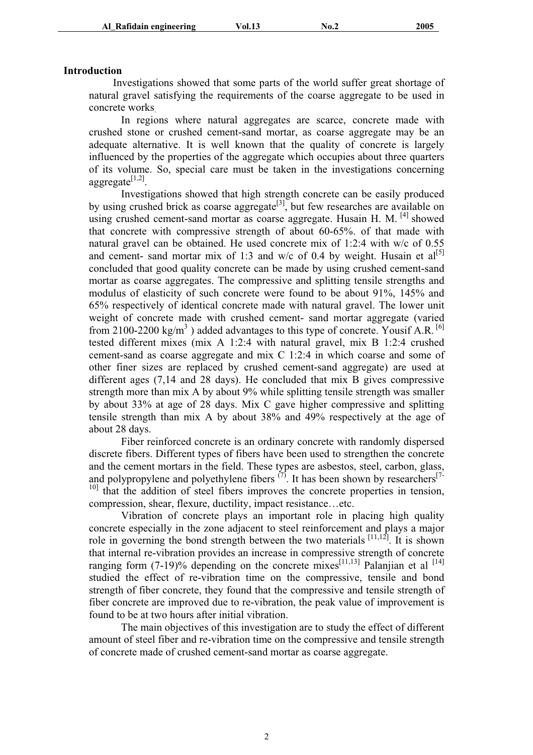### **Introduction**

 Investigations showed that some parts of the world suffer great shortage of natural gravel satisfying the requirements of the coarse aggregate to be used in concrete works.

In regions where natural aggregates are scarce, concrete made with crushed stone or crushed cement-sand mortar, as coarse aggregate may be an adequate alternative. It is well known that the quality of concrete is largely influenced by the properties of the aggregate which occupies about three quarters of its volume. So, special care must be taken in the investigations concerning aggregate $^{[1,2]}$ .

Investigations showed that high strength concrete can be easily produced by using crushed brick as coarse aggregate<sup>[3]</sup>, but few researches are available on using crushed cement-sand mortar as coarse aggregate. Husain H. M.  $^{[4]}$  showed that concrete with compressive strength of about 60-65%. of that made with natural gravel can be obtained. He used concrete mix of 1:2:4 with w/c of 0.55 and cement- sand mortar mix of 1:3 and w/c of 0.4 by weight. Husain et  $al^{[5]}$ concluded that good quality concrete can be made by using crushed cement-sand mortar as coarse aggregates. The compressive and splitting tensile strengths and modulus of elasticity of such concrete were found to be about 91%, 145% and 65% respectively of identical concrete made with natural gravel. The lower unit weight of concrete made with crushed cement- sand mortar aggregate (varied from 2100-2200 kg/m<sup>3</sup>) added advantages to this type of concrete. Yousif A.R. <sup>[6]</sup> tested different mixes (mix A 1:2:4 with natural gravel, mix B 1:2:4 crushed cement-sand as coarse aggregate and mix C 1:2:4 in which coarse and some of other finer sizes are replaced by crushed cement-sand aggregate) are used at different ages (7,14 and 28 days). He concluded that mix B gives compressive strength more than mix A by about 9% while splitting tensile strength was smaller by about 33% at age of 28 days. Mix C gave higher compressive and splitting tensile strength than mix A by about 38% and 49% respectively at the age of about 28 days.

Fiber reinforced concrete is an ordinary concrete with randomly dispersed discrete fibers. Different types of fibers have been used to strengthen the concrete and the cement mortars in the field. These types are asbestos, steel, carbon, glass, and polypropylene and polyethylene fibers  $^{(7)}$ . It has been shown by researchers<sup>[7-1</sup>] <sup>10]</sup> that the addition of steel fibers improves the concrete properties in tension, compression, shear, flexure, ductility, impact resistance…etc.

Vibration of concrete plays an important role in placing high quality concrete especially in the zone adjacent to steel reinforcement and plays a major role in governing the bond strength between the two materials  $\begin{bmatrix} 11,12 \end{bmatrix}$ . It is shown that internal re-vibration provides an increase in compressive strength of concrete ranging form  $(7-19)$ % depending on the concrete mixes<sup>[11,13]</sup> Palanjian et al <sup>[14]</sup> studied the effect of re-vibration time on the compressive, tensile and bond strength of fiber concrete, they found that the compressive and tensile strength of fiber concrete are improved due to re-vibration, the peak value of improvement is found to be at two hours after initial vibration.

The main objectives of this investigation are to study the effect of different amount of steel fiber and re-vibration time on the compressive and tensile strength of concrete made of crushed cement-sand mortar as coarse aggregate.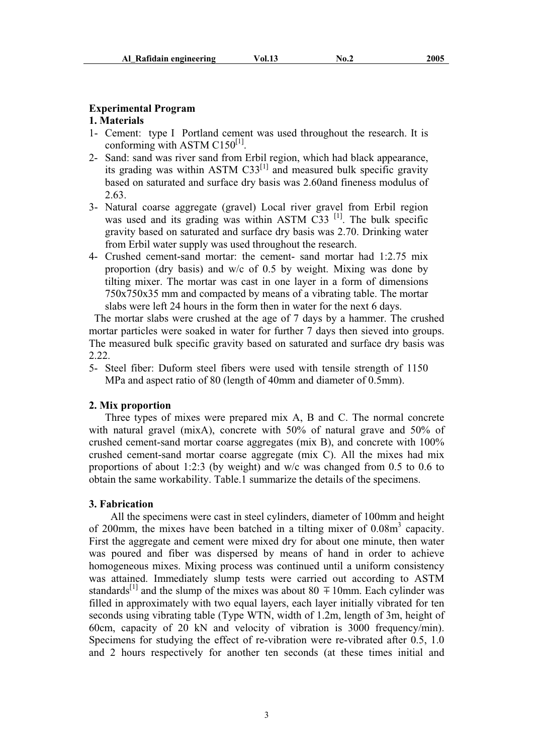### **Experimental Program**

## **1. Materials**

- 1- Cement: type I Portland cement was used throughout the research. It is conforming with ASTM  $C150^{[1]}$ .
- 2- Sand: sand was river sand from Erbil region, which had black appearance, its grading was within ASTM  $C33^{[1]}$  and measured bulk specific gravity based on saturated and surface dry basis was 2.60and fineness modulus of 2.63.
- 3- Natural coarse aggregate (gravel) Local river gravel from Erbil region was used and its grading was within ASTM  $C33$ <sup>[1]</sup>. The bulk specific gravity based on saturated and surface dry basis was 2.70. Drinking water from Erbil water supply was used throughout the research.
- 4- Crushed cement-sand mortar: the cement- sand mortar had 1:2.75 mix proportion (dry basis) and w/c of 0.5 by weight. Mixing was done by tilting mixer. The mortar was cast in one layer in a form of dimensions 750x750x35 mm and compacted by means of a vibrating table. The mortar slabs were left 24 hours in the form then in water for the next 6 days.

 The mortar slabs were crushed at the age of 7 days by a hammer. The crushed mortar particles were soaked in water for further 7 days then sieved into groups. The measured bulk specific gravity based on saturated and surface dry basis was 2.22.

5- Steel fiber: Duform steel fibers were used with tensile strength of 1150 MPa and aspect ratio of 80 (length of 40mm and diameter of 0.5mm).

### **2. Mix proportion**

Three types of mixes were prepared mix A, B and C. The normal concrete with natural gravel (mixA), concrete with 50% of natural grave and 50% of crushed cement-sand mortar coarse aggregates (mix B), and concrete with 100% crushed cement-sand mortar coarse aggregate (mix C). All the mixes had mix proportions of about 1:2:3 (by weight) and w/c was changed from 0.5 to 0.6 to obtain the same workability. Table.1 summarize the details of the specimens.

### **3. Fabrication**

 All the specimens were cast in steel cylinders, diameter of 100mm and height of 200mm, the mixes have been batched in a tilting mixer of 0.08m<sup>3</sup> capacity. First the aggregate and cement were mixed dry for about one minute, then water was poured and fiber was dispersed by means of hand in order to achieve homogeneous mixes. Mixing process was continued until a uniform consistency was attained. Immediately slump tests were carried out according to ASTM standards<sup>[1]</sup> and the slump of the mixes was about 80  $\pm$  10mm. Each cylinder was filled in approximately with two equal layers, each layer initially vibrated for ten seconds using vibrating table (Type WTN, width of 1.2m, length of 3m, height of 60cm, capacity of 20 kN and velocity of vibration is 3000 frequency/min). Specimens for studying the effect of re-vibration were re-vibrated after 0.5, 1.0 and 2 hours respectively for another ten seconds (at these times initial and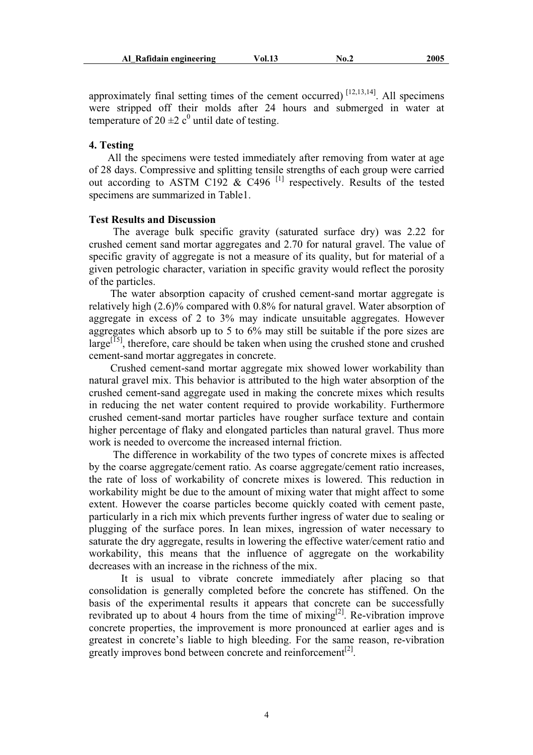approximately final setting times of the cement occurred)  $^{[12,13,14]}$ . All specimens were stripped off their molds after 24 hours and submerged in water at temperature of 20  $\pm$ 2 c<sup>0</sup> until date of testing.

### **4. Testing**

 All the specimens were tested immediately after removing from water at age of 28 days. Compressive and splitting tensile strengths of each group were carried out according to ASTM C192  $\&$  C496<sup>[1]</sup> respectively. Results of the tested specimens are summarized in Table1.

### **Test Results and Discussion**

 The average bulk specific gravity (saturated surface dry) was 2.22 for crushed cement sand mortar aggregates and 2.70 for natural gravel. The value of specific gravity of aggregate is not a measure of its quality, but for material of a given petrologic character, variation in specific gravity would reflect the porosity of the particles.

 The water absorption capacity of crushed cement-sand mortar aggregate is relatively high (2.6)% compared with 0.8% for natural gravel. Water absorption of aggregate in excess of 2 to 3% may indicate unsuitable aggregates. However aggregates which absorb up to 5 to 6% may still be suitable if the pore sizes are  $\text{large}^{[5]}$ , therefore, care should be taken when using the crushed stone and crushed cement-sand mortar aggregates in concrete.

 Crushed cement-sand mortar aggregate mix showed lower workability than natural gravel mix. This behavior is attributed to the high water absorption of the crushed cement-sand aggregate used in making the concrete mixes which results in reducing the net water content required to provide workability. Furthermore crushed cement-sand mortar particles have rougher surface texture and contain higher percentage of flaky and elongated particles than natural gravel. Thus more work is needed to overcome the increased internal friction.

 The difference in workability of the two types of concrete mixes is affected by the coarse aggregate/cement ratio. As coarse aggregate/cement ratio increases, the rate of loss of workability of concrete mixes is lowered. This reduction in workability might be due to the amount of mixing water that might affect to some extent. However the coarse particles become quickly coated with cement paste, particularly in a rich mix which prevents further ingress of water due to sealing or plugging of the surface pores. In lean mixes, ingression of water necessary to saturate the dry aggregate, results in lowering the effective water/cement ratio and workability, this means that the influence of aggregate on the workability decreases with an increase in the richness of the mix.

 It is usual to vibrate concrete immediately after placing so that consolidation is generally completed before the concrete has stiffened. On the basis of the experimental results it appears that concrete can be successfully revibrated up to about 4 hours from the time of  $mixing^{[2]}$ . Re-vibration improve concrete properties, the improvement is more pronounced at earlier ages and is greatest in concrete's liable to high bleeding. For the same reason, re-vibration greatly improves bond between concrete and reinforcement $^{[2]}$ .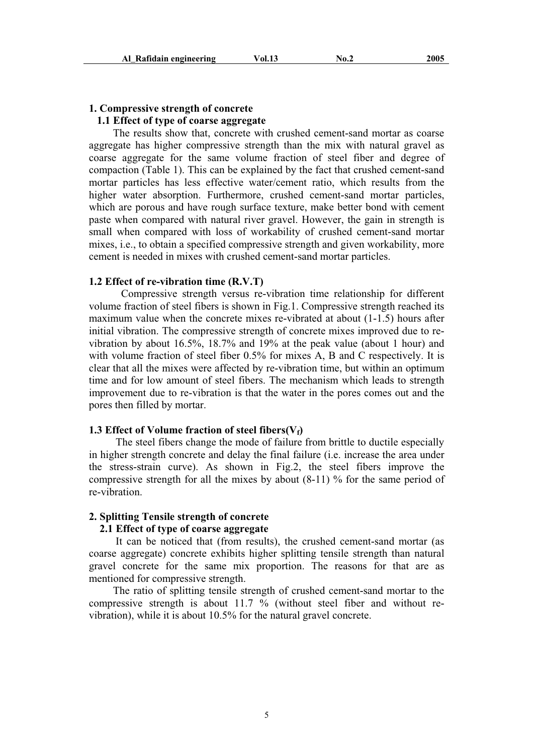## **1. Compressive strength of concrete**

## **1.1 Effect of type of coarse aggregate**

 The results show that, concrete with crushed cement-sand mortar as coarse aggregate has higher compressive strength than the mix with natural gravel as coarse aggregate for the same volume fraction of steel fiber and degree of compaction (Table 1). This can be explained by the fact that crushed cement-sand mortar particles has less effective water/cement ratio, which results from the higher water absorption. Furthermore, crushed cement-sand mortar particles, which are porous and have rough surface texture, make better bond with cement paste when compared with natural river gravel. However, the gain in strength is small when compared with loss of workability of crushed cement-sand mortar mixes, i.e., to obtain a specified compressive strength and given workability, more cement is needed in mixes with crushed cement-sand mortar particles.

### **1.2 Effect of re-vibration time (R.V.T)**

 Compressive strength versus re-vibration time relationship for different volume fraction of steel fibers is shown in Fig.1. Compressive strength reached its maximum value when the concrete mixes re-vibrated at about (1-1.5) hours after initial vibration. The compressive strength of concrete mixes improved due to revibration by about 16.5%, 18.7% and 19% at the peak value (about 1 hour) and with volume fraction of steel fiber 0.5% for mixes A, B and C respectively. It is clear that all the mixes were affected by re-vibration time, but within an optimum time and for low amount of steel fibers. The mechanism which leads to strength improvement due to re-vibration is that the water in the pores comes out and the pores then filled by mortar.

### **1.3 Effect of Volume fraction of steel fibers(** $V_f$ **)**

 The steel fibers change the mode of failure from brittle to ductile especially in higher strength concrete and delay the final failure (i.e. increase the area under the stress-strain curve). As shown in Fig.2, the steel fibers improve the compressive strength for all the mixes by about  $(8-11)$  % for the same period of re-vibration.

## **2. Splitting Tensile strength of concrete**

### **2.1 Effect of type of coarse aggregate**

 It can be noticed that (from results), the crushed cement-sand mortar (as coarse aggregate) concrete exhibits higher splitting tensile strength than natural gravel concrete for the same mix proportion. The reasons for that are as mentioned for compressive strength.

 The ratio of splitting tensile strength of crushed cement-sand mortar to the compressive strength is about 11.7 % (without steel fiber and without revibration), while it is about 10.5% for the natural gravel concrete.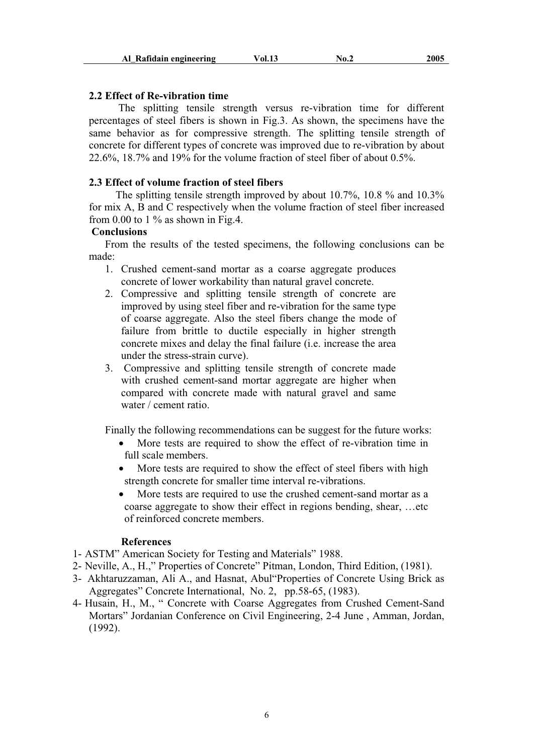### **2.2 Effect of Re-vibration time**

 The splitting tensile strength versus re-vibration time for different percentages of steel fibers is shown in Fig.3. As shown, the specimens have the same behavior as for compressive strength. The splitting tensile strength of concrete for different types of concrete was improved due to re-vibration by about 22.6%, 18.7% and 19% for the volume fraction of steel fiber of about 0.5%.

## **2.3 Effect of volume fraction of steel fibers**

 The splitting tensile strength improved by about 10.7%, 10.8 % and 10.3% for mix A, B and C respectively when the volume fraction of steel fiber increased from 0.00 to 1  $\%$  as shown in Fig.4.

## **Conclusions**

 From the results of the tested specimens, the following conclusions can be made:

- 1. Crushed cement-sand mortar as a coarse aggregate produces concrete of lower workability than natural gravel concrete.
- 2. Compressive and splitting tensile strength of concrete are improved by using steel fiber and re-vibration for the same type of coarse aggregate. Also the steel fibers change the mode of failure from brittle to ductile especially in higher strength concrete mixes and delay the final failure (i.e. increase the area under the stress-strain curve).
- 3. Compressive and splitting tensile strength of concrete made with crushed cement-sand mortar aggregate are higher when compared with concrete made with natural gravel and same water / cement ratio.

Finally the following recommendations can be suggest for the future works:

- More tests are required to show the effect of re-vibration time in full scale members.
- More tests are required to show the effect of steel fibers with high strength concrete for smaller time interval re-vibrations.
- More tests are required to use the crushed cement-sand mortar as a coarse aggregate to show their effect in regions bending, shear, …etc of reinforced concrete members.

#### **References**

- 1- ASTM" American Society for Testing and Materials" 1988.
- 2- Neville, A., H.," Properties of Concrete" Pitman, London, Third Edition, (1981).
- 3- Akhtaruzzaman, Ali A., and Hasnat, Abul"Properties of Concrete Using Brick as Aggregates" Concrete International, No. 2, pp.58-65, (1983).
- 4- Husain, H., M., " Concrete with Coarse Aggregates from Crushed Cement-Sand Mortars" Jordanian Conference on Civil Engineering, 2-4 June , Amman, Jordan, (1992).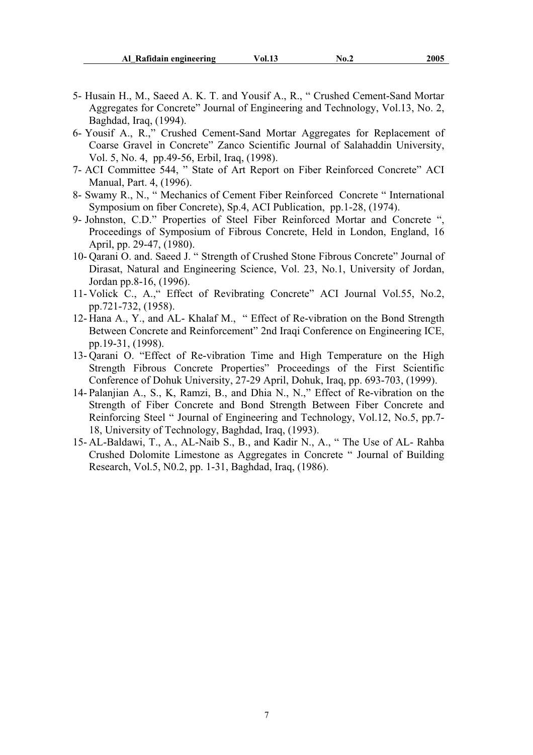- 5- Husain H., M., Saeed A. K. T. and Yousif A., R., " Crushed Cement-Sand Mortar Aggregates for Concrete" Journal of Engineering and Technology, Vol.13, No. 2, Baghdad, Iraq, (1994).
- 6- Yousif A., R.," Crushed Cement-Sand Mortar Aggregates for Replacement of Coarse Gravel in Concrete" Zanco Scientific Journal of Salahaddin University, Vol. 5, No. 4, pp.49-56, Erbil, Iraq, (1998).
- 7- ACI Committee 544, " State of Art Report on Fiber Reinforced Concrete" ACI Manual, Part. 4, (1996).
- 8- Swamy R., N., " Mechanics of Cement Fiber Reinforced Concrete " International Symposium on fiber Concrete), Sp.4, ACI Publication, pp.1-28, (1974).
- 9- Johnston, C.D." Properties of Steel Fiber Reinforced Mortar and Concrete ", Proceedings of Symposium of Fibrous Concrete, Held in London, England, 16 April, pp. 29-47, (1980).
- 10- Qarani O. and. Saeed J. " Strength of Crushed Stone Fibrous Concrete" Journal of Dirasat, Natural and Engineering Science, Vol. 23, No.1, University of Jordan, Jordan pp.8-16, (1996).
- 11- Volick C., A.," Effect of Revibrating Concrete" ACI Journal Vol.55, No.2, pp.721-732, (1958).
- 12- Hana A., Y., and AL- Khalaf M., " Effect of Re-vibration on the Bond Strength Between Concrete and Reinforcement" 2nd Iraqi Conference on Engineering ICE, pp.19-31, (1998).
- 13- Qarani O. "Effect of Re-vibration Time and High Temperature on the High Strength Fibrous Concrete Properties" Proceedings of the First Scientific Conference of Dohuk University, 27-29 April, Dohuk, Iraq, pp. 693-703, (1999).
- 14- Palanjian A., S., K, Ramzi, B., and Dhia N., N.," Effect of Re-vibration on the Strength of Fiber Concrete and Bond Strength Between Fiber Concrete and Reinforcing Steel " Journal of Engineering and Technology, Vol.12, No.5, pp.7- 18, University of Technology, Baghdad, Iraq, (1993).
- 15- AL-Baldawi, T., A., AL-Naib S., B., and Kadir N., A., " The Use of AL- Rahba Crushed Dolomite Limestone as Aggregates in Concrete " Journal of Building Research, Vol.5, N0.2, pp. 1-31, Baghdad, Iraq, (1986).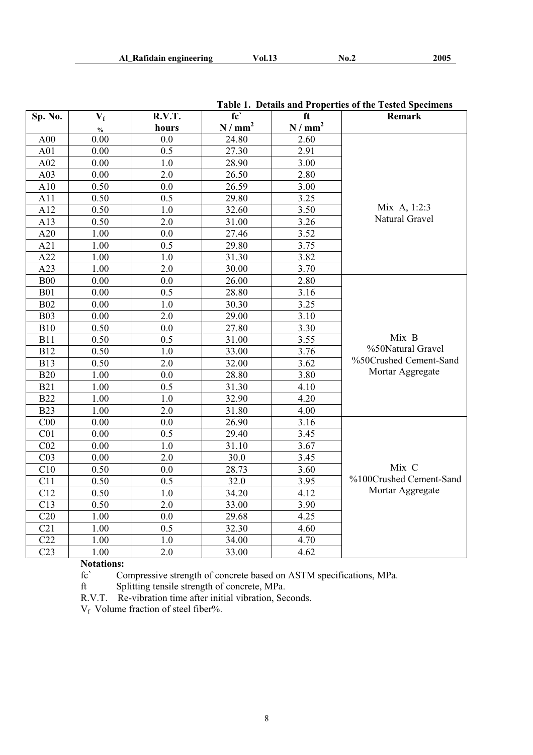|                 |       |               |                     |                             | <b>Table 1. Details and Froperties of the Tested Specimens</b> |
|-----------------|-------|---------------|---------------------|-----------------------------|----------------------------------------------------------------|
| Sp. No.         | $V_f$ | R.V.T.        | fc'                 | ft                          | Remark                                                         |
|                 | $\%$  | hours         | N / mm <sup>2</sup> | $\hbox{N}\,/$ $\hbox{mm}^2$ |                                                                |
| A00             | 0.00  | 0.0           | 24.80               | 2.60                        |                                                                |
| A01             | 0.00  | 0.5           | 27.30               | 2.91                        |                                                                |
| A02             | 0.00  | 1.0           | 28.90               | 3.00                        |                                                                |
| A03             | 0.00  | 2.0           | 26.50               | 2.80                        |                                                                |
| A10             | 0.50  | 0.0           | 26.59               | 3.00                        |                                                                |
| A11             | 0.50  | 0.5           | 29.80               | 3.25                        |                                                                |
| A12             | 0.50  | 1.0           | 32.60               | 3.50                        | Mix A, 1:2:3                                                   |
| A13             | 0.50  | 2.0           | 31.00               | 3.26                        | Natural Gravel                                                 |
| A20             | 1.00  | 0.0           | 27.46               | 3.52                        |                                                                |
| A21             | 1.00  | 0.5           | 29.80               | 3.75                        |                                                                |
| A22             | 1.00  | 1.0           | 31.30               | 3.82                        |                                                                |
| A23             | 1.00  | 2.0           | 30.00               | 3.70                        |                                                                |
| <b>B00</b>      | 0.00  | 0.0           | 26.00               | 2.80                        |                                                                |
| <b>B01</b>      | 0.00  | 0.5           | 28.80               | 3.16                        |                                                                |
| <b>B02</b>      | 0.00  | 1.0           | 30.30               | 3.25                        |                                                                |
| <b>B03</b>      | 0.00  | 2.0           | 29.00               | 3.10                        |                                                                |
| <b>B10</b>      | 0.50  | 0.0           | 27.80               | 3.30                        |                                                                |
| <b>B11</b>      | 0.50  | $0.5^{\circ}$ | 31.00               | 3.55                        | Mix B                                                          |
| <b>B12</b>      | 0.50  | 1.0           | 33.00               | 3.76                        | %50Natural Gravel                                              |
| <b>B13</b>      | 0.50  | 2.0           | 32.00               | 3.62                        | %50Crushed Cement-Sand                                         |
| <b>B20</b>      | 1.00  | 0.0           | 28.80               | 3.80                        | Mortar Aggregate                                               |
| <b>B21</b>      | 1.00  | 0.5           | 31.30               | 4.10                        |                                                                |
| <b>B22</b>      | 1.00  | $1.0$         | 32.90               | 4.20                        |                                                                |
| <b>B23</b>      | 1.00  | 2.0           | 31.80               | 4.00                        |                                                                |
| C <sub>00</sub> | 0.00  | 0.0           | 26.90               | 3.16                        |                                                                |
| C <sub>01</sub> | 0.00  | 0.5           | 29.40               | 3.45                        |                                                                |
| CO <sub>2</sub> | 0.00  | 1.0           | 31.10               | 3.67                        |                                                                |
| CO <sub>3</sub> | 0.00  | 2.0           | 30.0                | 3.45                        |                                                                |
| C10             | 0.50  | 0.0           | 28.73               | 3.60                        | Mix C                                                          |
| C11             | 0.50  | 0.5           | 32.0                | 3.95                        | %100Crushed Cement-Sand                                        |
| C12             | 0.50  | $1.0\,$       | 34.20               | 4.12                        | Mortar Aggregate                                               |
| C13             | 0.50  | 2.0           | 33.00               | 3.90                        |                                                                |
| C20             | 1.00  | 0.0           | 29.68               | 4.25                        |                                                                |
| C21             | 1.00  | 0.5           | 32.30               | 4.60                        |                                                                |
| C22             | 1.00  | $1.0\,$       | 34.00               | 4.70                        |                                                                |
| C <sub>23</sub> | 1.00  | 2.0           | 33.00               | 4.62                        |                                                                |

**Table 1. Details and Properties of the Tested Specimens** 

**Notations:**<br>fc' Co

Compressive strength of concrete based on ASTM specifications, MPa.

ft Splitting tensile strength of concrete, MPa.

R.V.T. Re-vibration time after initial vibration, Seconds.

V<sub>f</sub> Volume fraction of steel fiber%.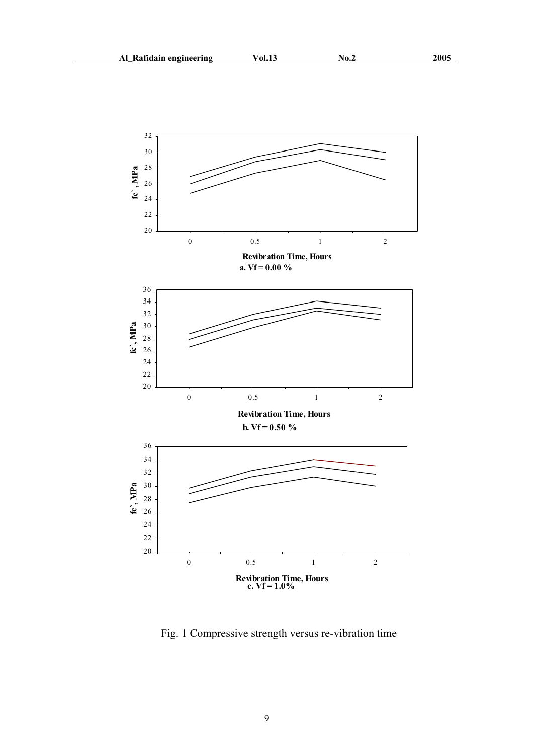

Fig. 1 Compressive strength versus re-vibration time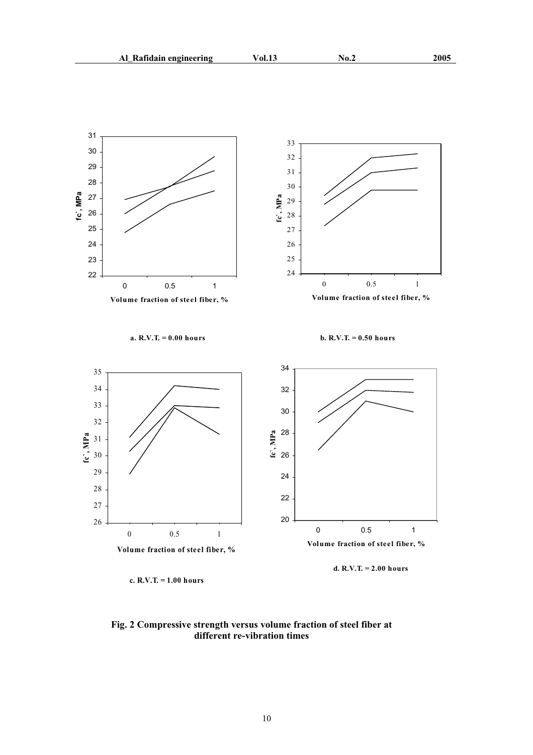

**Fig. 2 Compressive strength versus volume fraction of steel fiber at different re-vibration times**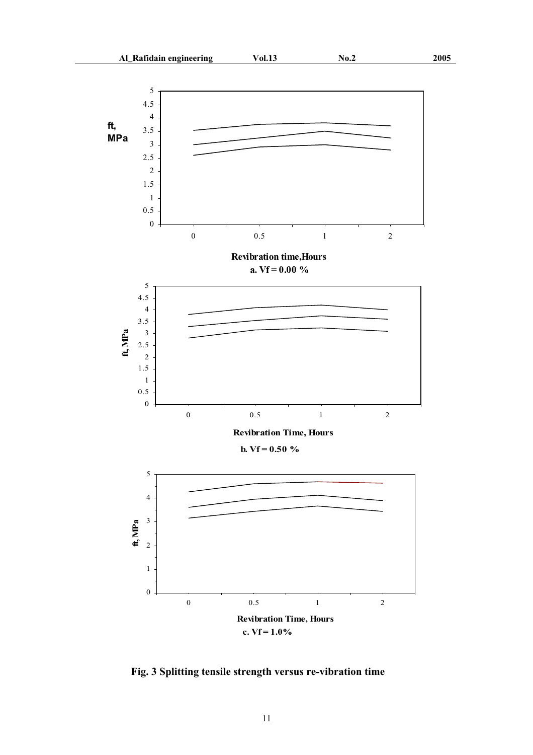

**Fig. 3 Splitting tensile strength versus re-vibration time**